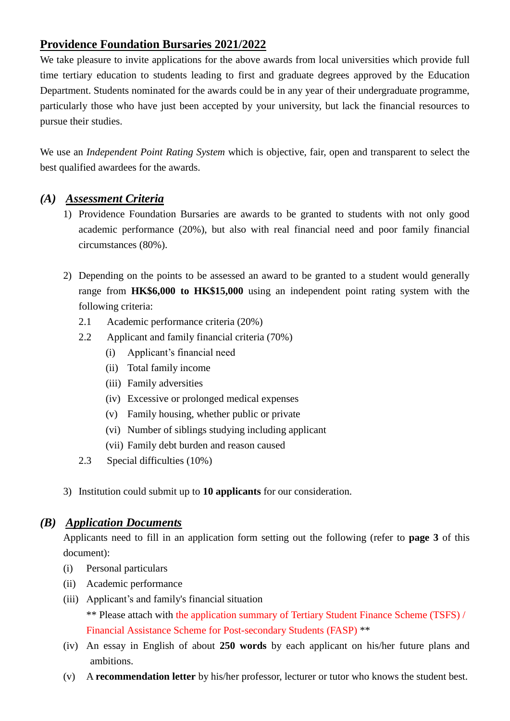## **Providence Foundation Bursaries 2021/2022**

We take pleasure to invite applications for the above awards from local universities which provide full time tertiary education to students leading to first and graduate degrees approved by the Education Department. Students nominated for the awards could be in any year of their undergraduate programme, particularly those who have just been accepted by your university, but lack the financial resources to pursue their studies.

We use an *Independent Point Rating System* which is objective, fair, open and transparent to select the best qualified awardees for the awards.

# *(A) Assessment Criteria*

- 1) Providence Foundation Bursaries are awards to be granted to students with not only good academic performance (20%), but also with real financial need and poor family financial circumstances (80%).
- 2) Depending on the points to be assessed an award to be granted to a student would generally range from **HK\$6,000 to HK\$15,000** using an independent point rating system with the following criteria:
	- 2.1 Academic performance criteria (20%)
	- 2.2 Applicant and family financial criteria (70%)
		- (i) Applicant's financial need
		- (ii) Total family income
		- (iii) Family adversities
		- (iv) Excessive or prolonged medical expenses
		- (v) Family housing, whether public or private
		- (vi) Number of siblings studying including applicant
		- (vii) Family debt burden and reason caused
	- 2.3 Special difficulties (10%)
- 3) Institution could submit up to **10 applicants** for our consideration.

### *(B) Application Documents*

Applicants need to fill in an application form setting out the following (refer to **page 3** of this document):

- (i) Personal particulars
- (ii) Academic performance
- (iii) Applicant's and family's financial situation \*\* Please attach with the application summary of Tertiary Student Finance Scheme (TSFS) / Financial Assistance Scheme for Post-secondary Students (FASP) \*\*
- (iv) An essay in English of about **250 words** by each applicant on his/her future plans and ambitions.
- (v) A **recommendation letter** by his/her professor, lecturer or tutor who knows the student best.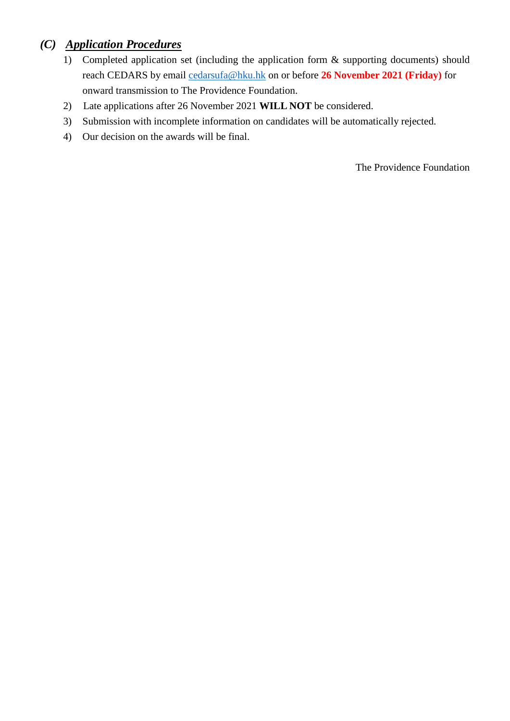# *(C) Application Procedures*

- 1) Completed application set (including the application form & supporting documents) should reach CEDARS by email cedarsufa[@hku.hk on or befor](mailto:cedarsufa@hku.hk)e **26 November 2021 (Friday)** for onward transmission to The Providence Foundation.
- 2) Late applications after 26 November 2021 **WILL NOT** be considered.
- 3) Submission with incomplete information on candidates will be automatically rejected.
- 4) Our decision on the awards will be final.

The Providence Foundation